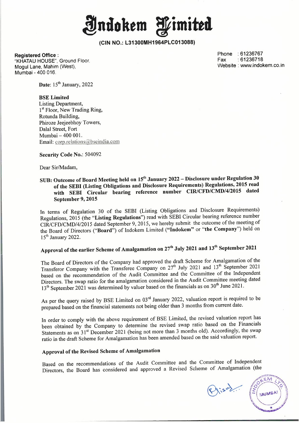**Jntlokem fimitta** 

**Registered Office:** 

"KHATAU HOUSE", Ground Floor. Mogul Lane, Mahim (West), Mumbai - 400 016.

Phone : 61236767 Fax :61236718 Website : www.indokem.co.in

**Date:** 15<sup>th</sup> January, 2022

### **BSE Limited**

Listing Department, 1<sup>st</sup> Floor, New Trading Ring, Rotunda Building, Phiroze Jeejeebhoy Towers, Dalal Street, Fort Mumbai - 400 001. Email: corp.relations@bseindia.com

#### **Security Code No.:** 504092

Dear Sir/Madam,

# **SUB: Outcome of Board Meeting held on 15 th January 2022 -Disclosure under Regulation 30 of the SEBI (Listing Obligations and Disclosure Requirements) Regulations, 2015 read with SEBI Circular bearing reference number CIR/CFD/CMD/4/2015 dated September 9, 2015**

In terms of Regulation 30 of the SEBI (Listing Obligations and Disclosure Requirements) Regulations, 2015 (the **"Listing Regulations")** read with SEBI Circular bearing reference number CIR/CFD/CMD/4/2015 dated September 9, 2015, we hereby submit the outcome of the meeting of the Board of Directors **("Board")** of Indokem Limited **("lndokem"** or **"the Company")** held on 15<sup>th</sup> January 2022.

# Approval of the earlier Scheme of Amalgamation on 27<sup>th</sup> July 2021 and 13<sup>th</sup> September 2021

The Board of Directors of the Company had approved the draft Scheme for Amalgamation of the Transferor Company with the Transferee Company on 27<sup>th</sup> July 2021 and 13<sup>th</sup> September 2021 based on the recommendation of the Audit Committee and the Committee of the Independent Directors. The swap ratio for the amalgamation considered in the Audit Committee meeting dated  $13<sup>th</sup>$  September 2021 was determined by valuer based on the financials as on 30<sup>th</sup> June 2021.

As per the query raised by BSE Limited on  $03<sup>rd</sup>$  January 2022, valuation report is required to be prepared based on the financial statements not being older than 3 months from current date.

In order to comply with the above requirement of BSE Limited, the revised valuation report has been obtained by the Company to determine the revised swap ratio based on the Financials Statements as on 31<sup>st</sup> December 2021 (being not more than 3 months old). Accordingly, the swap ratio in the draft Scheme for Amalgamation has been amended based on the said valuation report.

## **Approval of the Revised Scheme of Amalgamation**

Based on the recommendations of the Audit Committee and the Committee of Independent Directors, the Board has considered and approved a Revised Scheme of Amalgamation (the

Prisod.

EM MUMBAI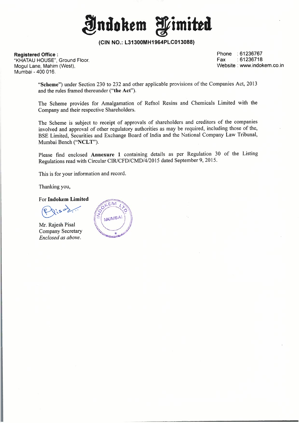**indokem fimitta** 

**Registered Office :** 

''KHATAU HOUSE", Ground Floor. Mogul Lane, Mahim (West), Mumbai - 400 016.

Phone : 61236767 Fax :61236718 Website : www.indokem.co.in

**"Scheme")** under Section 230 to 232 and other applicable provisions of the Companies Act, 2013 and the rules framed thereunder **("the Act").** 

The Scheme provides for Amalgamation of Refnol Resins and Chemicals Limited with the Company and their respective Shareholders.

The Scheme is subject to receipt of approvals of shareholders and creditors of the companies involved and approval of other regulatory authorities as may be required, including those of the, BSE Limited, Securities and Exchange Board of India and the National Company Law Tribunal, Mumbai Bench **("NCLT").** 

Please find enclosed Annexure 1 containing details as per Regulation 30 of the Listing Regulations read with Circular CIR/CFD/CMD/4/2015 dated September 9, 2015.

This is for your information and record.

Thanking you,

For **lndokem Limited** 

 $\rightarrow$ 

Mr. Rajesh Pisal Company Secretary *Enclosed as above.* 

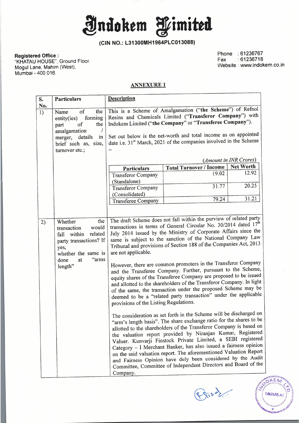**Jndokem fimitta** 

**Registered Office:** 

"KHATAU HOUSE", Ground Floor. Mogul Lane, Mahim (West), Mumbai - 400 016.

Phone : 61236767 Fax :61236718 Website : www.indokem.co.in

### **ANNEXURE 1**

| S.                    | <b>Particulars</b>                                                                                                                                                         | <b>Description</b>                                                                                                                                                                                                                                                                                                                                                                                                                                                                                                                                                                                                                                                                                                                                                                                                                                                                                                                                                                                                                                                                                                                                                                                                                                                                                                                                                                                                                                                                   |                                |                        |  |  |
|-----------------------|----------------------------------------------------------------------------------------------------------------------------------------------------------------------------|--------------------------------------------------------------------------------------------------------------------------------------------------------------------------------------------------------------------------------------------------------------------------------------------------------------------------------------------------------------------------------------------------------------------------------------------------------------------------------------------------------------------------------------------------------------------------------------------------------------------------------------------------------------------------------------------------------------------------------------------------------------------------------------------------------------------------------------------------------------------------------------------------------------------------------------------------------------------------------------------------------------------------------------------------------------------------------------------------------------------------------------------------------------------------------------------------------------------------------------------------------------------------------------------------------------------------------------------------------------------------------------------------------------------------------------------------------------------------------------|--------------------------------|------------------------|--|--|
| No.<br>$\overline{1}$ | $\overline{\text{of}}$<br>the<br>Name<br>forming<br>entity(ies)<br>the<br>of<br>part<br>amalgamation<br>details<br>in<br>merger,<br>brief such as, size,<br>turnover etc.; | This is a Scheme of Amalgamation ("the Scheme") of Refnol<br>Resins and Chemicals Limited ("Transferor Company") with<br>Indokem Limited ("the Company" or "Transferee Company").<br>Set out below is the net-worth and total income as on appointed<br>date i.e. 31 <sup>st</sup> March, 2021 of the companies involved in the Scheme                                                                                                                                                                                                                                                                                                                                                                                                                                                                                                                                                                                                                                                                                                                                                                                                                                                                                                                                                                                                                                                                                                                                               |                                |                        |  |  |
|                       |                                                                                                                                                                            |                                                                                                                                                                                                                                                                                                                                                                                                                                                                                                                                                                                                                                                                                                                                                                                                                                                                                                                                                                                                                                                                                                                                                                                                                                                                                                                                                                                                                                                                                      |                                | (Amount in INR Crores) |  |  |
|                       |                                                                                                                                                                            | Particulars                                                                                                                                                                                                                                                                                                                                                                                                                                                                                                                                                                                                                                                                                                                                                                                                                                                                                                                                                                                                                                                                                                                                                                                                                                                                                                                                                                                                                                                                          | <b>Total Turnover / Income</b> | <b>Net Worth</b>       |  |  |
|                       |                                                                                                                                                                            | <b>Transferor Company</b><br>(Standalone)                                                                                                                                                                                                                                                                                                                                                                                                                                                                                                                                                                                                                                                                                                                                                                                                                                                                                                                                                                                                                                                                                                                                                                                                                                                                                                                                                                                                                                            | 19.02                          | 12.92                  |  |  |
|                       |                                                                                                                                                                            | <b>Transferor Company</b><br>(Consolidated)                                                                                                                                                                                                                                                                                                                                                                                                                                                                                                                                                                                                                                                                                                                                                                                                                                                                                                                                                                                                                                                                                                                                                                                                                                                                                                                                                                                                                                          | 31.77                          | 20.25                  |  |  |
|                       |                                                                                                                                                                            | <b>Transferee Company</b>                                                                                                                                                                                                                                                                                                                                                                                                                                                                                                                                                                                                                                                                                                                                                                                                                                                                                                                                                                                                                                                                                                                                                                                                                                                                                                                                                                                                                                                            | 79.24                          | 31.21                  |  |  |
| 2)                    | the<br>Whether<br>would<br>transaction<br>related<br>fall within<br>party transactions? If<br>yes,<br>whether the same is<br>"arms<br>done<br>at<br>length"                | The draft Scheme does not fall within the purview of related party<br>transactions in terms of General Circular No. 30/2014 dated 17 <sup>th</sup><br>July 2014 issued by the Ministry of Corporate Affairs since the<br>same is subject to the sanction of the National Company Law<br>Tribunal and provisions of Section 188 of the Companies Act, 2013<br>are not applicable.<br>However, there are common promoters in the Transferor Company<br>and the Transferee Company. Further, pursuant to the Scheme,<br>equity shares of the Transferee Company are proposed to be issued<br>and allotted to the shareholders of the Transferor Company. In light<br>of the same, the transaction under the proposed Scheme may be<br>deemed to be a "related party transaction" under the applicable<br>provisions of the Listing Regulations.<br>The consideration as set forth in the Scheme will be discharged on<br>"arm's length basis". The share exchange ratio for the shares to be<br>allotted to the shareholders of the Transferor Company is based on<br>the valuation report provided by Niranjan Kumar, Registered<br>Valuer. Kunvarji Finstock Private Limited, a SEBI registered<br>Category - I Merchant Banker, has also issued a fairness opinion<br>on the said valuation report. The aforementioned Valuation Report<br>and Fairness Opinion have duly been considered by the Audit<br>Committee, Committee of Independent Directors and Board of the<br>Company. |                                |                        |  |  |

gisoli

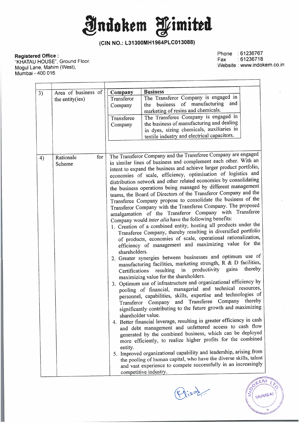**Jjlndokem fimitttl** 

## **Registered Office:**

"KHATAU HOUSE", Ground Floor. Mogul Lane, Mahim (West), Mumbai - 400 016.

Phone : 61236767 Fax :61236718 Website : www.indokem.co.in

| 3) | Area of business of | <b>Company</b>                                                                                                            | <b>Business</b>                                                                        |  |  |
|----|---------------------|---------------------------------------------------------------------------------------------------------------------------|----------------------------------------------------------------------------------------|--|--|
|    | the entity(ies)     | Transferor                                                                                                                | The Transferor Company is engaged in                                                   |  |  |
|    |                     | Company                                                                                                                   | and<br>the business of manufacturing                                                   |  |  |
|    |                     | marketing of resins and chemicals.                                                                                        |                                                                                        |  |  |
|    |                     | Transferee                                                                                                                | The Transferee Company is engaged in                                                   |  |  |
|    |                     | Company                                                                                                                   | the business of manufacturing and dealing<br>in dyes, sizing chemicals, auxiliaries in |  |  |
|    |                     | textile industry and electrical capacitors.                                                                               |                                                                                        |  |  |
|    |                     |                                                                                                                           |                                                                                        |  |  |
|    |                     |                                                                                                                           |                                                                                        |  |  |
| 4) | for<br>Rationale    | The Transferor Company and the Transferee Company are engaged                                                             |                                                                                        |  |  |
|    | Scheme              |                                                                                                                           | in similar lines of business and complement each other. With an                        |  |  |
|    |                     | intent to expand the business and achieve larger product portfolio,                                                       |                                                                                        |  |  |
|    |                     |                                                                                                                           | economies of scale, efficiency, optimisation of logistics and                          |  |  |
|    |                     |                                                                                                                           | distribution network and other related economies by consolidating                      |  |  |
|    |                     | the business operations being managed by different management                                                             |                                                                                        |  |  |
|    |                     | teams, the Board of Directors of the Transferor Company and the                                                           |                                                                                        |  |  |
|    |                     | Transferee Company propose to consolidate the business of the                                                             |                                                                                        |  |  |
|    |                     | Transferor Company with the Transferee Company. The proposed                                                              |                                                                                        |  |  |
|    |                     | amalgamation of the Transferor Company with Transferee                                                                    |                                                                                        |  |  |
|    |                     | Company would inter alia have the following benefits:<br>1. Creation of a combined entity, hosting all products under the |                                                                                        |  |  |
|    |                     | Transferee Company, thereby resulting in diversified portfolio                                                            |                                                                                        |  |  |
|    |                     | of products, economies of scale, operational rationalization,                                                             |                                                                                        |  |  |
|    |                     | efficiency of management and maximizing value for the                                                                     |                                                                                        |  |  |
|    |                     | shareholders.                                                                                                             |                                                                                        |  |  |
|    |                     | 2. Greater synergies between businesses and optimum use of                                                                |                                                                                        |  |  |
|    |                     |                                                                                                                           | manufacturing facilities, marketing strength, R & D facilities,                        |  |  |
|    |                     | thereby<br>productivity gains<br>resulting in<br>Certifications                                                           |                                                                                        |  |  |
|    |                     | maximizing value for the shareholders.                                                                                    |                                                                                        |  |  |
|    |                     |                                                                                                                           | 3. Optimum use of infrastructure and organizational efficiency by                      |  |  |
|    |                     | pooling of financial, managerial and technical resources,                                                                 |                                                                                        |  |  |
|    |                     | personnel, capabilities, skills, expertise and technologies of                                                            |                                                                                        |  |  |
|    |                     | Transferor Company and Transferee Company thereby                                                                         |                                                                                        |  |  |
|    |                     | significantly contributing to the future growth and maximizing                                                            |                                                                                        |  |  |
|    |                     | shareholder value.                                                                                                        |                                                                                        |  |  |
|    |                     | 4. Better financial leverage, resulting in greater efficiency in cash                                                     |                                                                                        |  |  |
|    |                     | and debt management and unfettered access to cash flow                                                                    |                                                                                        |  |  |
|    |                     | generated by the combined business, which can be deployed                                                                 |                                                                                        |  |  |
|    |                     | more efficiently, to realize higher profits for the combined                                                              |                                                                                        |  |  |
|    |                     | entity.                                                                                                                   |                                                                                        |  |  |
|    |                     | 5. Improved organizational capability and leadership, arising from                                                        |                                                                                        |  |  |
|    |                     | the pooling of human capital, who have the diverse skills, talent                                                         |                                                                                        |  |  |
|    |                     | and vast experience to compete successfully in an increasingly                                                            |                                                                                        |  |  |
|    |                     | competitive industry.                                                                                                     |                                                                                        |  |  |

Prisor.

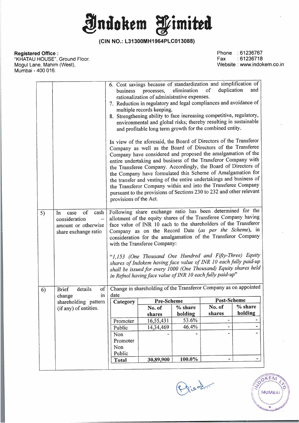**Jjlndokem f imitta** 

**Registered Office :** 

"KHATAU HOUSE", Ground Floor. Mogul Lane, Mahim (West), Mumbai - 400 016.

Phone : 61236767<br>Fax : 61236718  $:61236718$ Website: www.indokem.co.in

|    |                                                                                          | 6. Cost savings because of standardization and simplification of<br>elimination of<br>duplication<br>and<br>processes,<br>business<br>rationalization of administrative expenses.<br>7. Reduction in regulatory and legal compliances and avoidance of<br>multiple records keeping.<br>8. Strengthening ability to face increasing competitive, regulatory,<br>environmental and global risks; thereby resulting in sustainable<br>and profitable long term growth for the combined entity.<br>In view of the aforesaid, the Board of Directors of the Transferor<br>Company as well as the Board of Directors of the Transferee<br>Company have considered and proposed the amalgamation of the<br>entire undertaking and business of the Transferor Company with<br>the Transferee Company. Accordingly, the Board of Directors of<br>the Company have formulated this Scheme of Amalgamation for<br>the transfer and vesting of the entire undertakings and business of<br>the Transferor Company within and into the Transferee Company<br>pursuant to the provisions of Sections 230 to 232 and other relevant<br>provisions of the Act. |           |         |        |         |
|----|------------------------------------------------------------------------------------------|-----------------------------------------------------------------------------------------------------------------------------------------------------------------------------------------------------------------------------------------------------------------------------------------------------------------------------------------------------------------------------------------------------------------------------------------------------------------------------------------------------------------------------------------------------------------------------------------------------------------------------------------------------------------------------------------------------------------------------------------------------------------------------------------------------------------------------------------------------------------------------------------------------------------------------------------------------------------------------------------------------------------------------------------------------------------------------------------------------------------------------------------------|-----------|---------|--------|---------|
| 5) | cash<br>of<br>In<br>case<br>consideration<br>amount or otherwise<br>share exchange ratio | Following share exchange ratio has been determined for the<br>allotment of the equity shares of the Transferee Company having<br>face value of INR 10 each to the shareholders of the Transferor<br>Company as on the Record Date (as per the Scheme), in<br>consideration for the amalgamation of the Transferor Company<br>with the Transferee Company:<br>"1,153 (One Thousand One Hundred and Fifty-Three) Equity<br>shares of Indokem having face value of INR 10 each fully paid-up<br>shall be issued for every 1000 (One Thousand) Equity shares held<br>in Refnol having face value of INR 10 each fully paid-up"                                                                                                                                                                                                                                                                                                                                                                                                                                                                                                                    |           |         |        |         |
| 6) | details<br>$\sigma$<br><b>Brief</b>                                                      | Change in shareholding of the Transferor Company as on appointed                                                                                                                                                                                                                                                                                                                                                                                                                                                                                                                                                                                                                                                                                                                                                                                                                                                                                                                                                                                                                                                                              |           |         |        |         |
|    | in<br>change<br>shareholding pattern                                                     | date<br>Post-Scheme<br><b>Pre-Scheme</b><br>$\vert$ Category                                                                                                                                                                                                                                                                                                                                                                                                                                                                                                                                                                                                                                                                                                                                                                                                                                                                                                                                                                                                                                                                                  |           |         |        |         |
|    | (if any) of entities.                                                                    |                                                                                                                                                                                                                                                                                                                                                                                                                                                                                                                                                                                                                                                                                                                                                                                                                                                                                                                                                                                                                                                                                                                                               | No. of    | % share | No. of | % share |
|    |                                                                                          |                                                                                                                                                                                                                                                                                                                                                                                                                                                                                                                                                                                                                                                                                                                                                                                                                                                                                                                                                                                                                                                                                                                                               | shares    | holding | shares | holding |
|    |                                                                                          | Promoter                                                                                                                                                                                                                                                                                                                                                                                                                                                                                                                                                                                                                                                                                                                                                                                                                                                                                                                                                                                                                                                                                                                                      | 16,55,431 | 53.6%   |        |         |
|    |                                                                                          | Public                                                                                                                                                                                                                                                                                                                                                                                                                                                                                                                                                                                                                                                                                                                                                                                                                                                                                                                                                                                                                                                                                                                                        | 14,34,469 | 46.4%   |        |         |
|    |                                                                                          | Non                                                                                                                                                                                                                                                                                                                                                                                                                                                                                                                                                                                                                                                                                                                                                                                                                                                                                                                                                                                                                                                                                                                                           |           |         |        |         |
|    |                                                                                          | Promoter                                                                                                                                                                                                                                                                                                                                                                                                                                                                                                                                                                                                                                                                                                                                                                                                                                                                                                                                                                                                                                                                                                                                      |           |         |        |         |
|    |                                                                                          | Non                                                                                                                                                                                                                                                                                                                                                                                                                                                                                                                                                                                                                                                                                                                                                                                                                                                                                                                                                                                                                                                                                                                                           |           |         |        |         |
|    |                                                                                          | Public                                                                                                                                                                                                                                                                                                                                                                                                                                                                                                                                                                                                                                                                                                                                                                                                                                                                                                                                                                                                                                                                                                                                        |           |         |        |         |
|    |                                                                                          | Total                                                                                                                                                                                                                                                                                                                                                                                                                                                                                                                                                                                                                                                                                                                                                                                                                                                                                                                                                                                                                                                                                                                                         | 30,89,900 | 100.0%  |        |         |

Prison